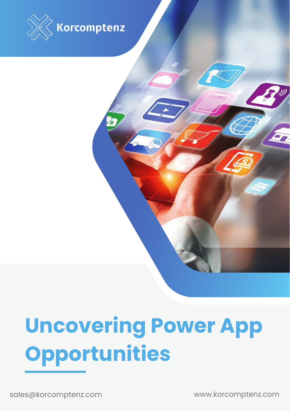

# **Uncovering Power App Opportunities**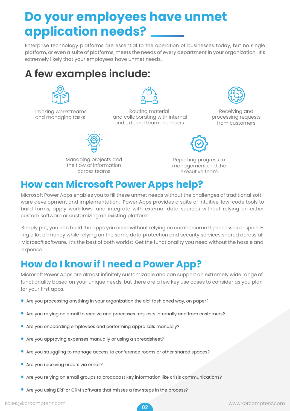## **Do your employees have unmet application needs?**

Enterprise technology platforms are essential to the operation of businesses today, but no single platform, or even a suite of platforms, meets the needs of every department in your organization. It's extremely likely that your employees have unmet needs.

#### **A few examples include:**



Tracking workstreams and managing tasks



Routing material and collaborating with internal and external team members



Receiving and processing requests from customers



Managing projects and the flow of information across teams

Reporting progress to management and the executive team

#### **How can Microsoft Power Apps help?**

Microsoft Power Apps enables you to fill these unmet needs without the challenges of traditional software development and implementation. Power Apps provides a suite of intuitive, low-code tools to build forms, apply workflows, and integrate with external data sources without relying on either custom software or customizing an existing platform.

Simply put, you can build the apps you need without relying on cumbersome IT processes or spending a lot of money while relying on the same data protection and security services shared across all Microsoft software. It's the best of both worlds: Get the functionality you need without the hassle and expense.

#### **How do I know if I need a Power App?**

Microsoft Power Apps are almost infinitely customizable and can support an extremely wide range of functionality based on your unique needs, but there are a few key use cases to consider as you plan for your first apps.

- Are you processing anything in your organization the old-fashioned way, on paper?
- Are you relying on email to receive and processes requests internally and from customers?
- Are you onboarding employees and performing appraisals manually?
- Are you approving expenses manually or using a spreadsheet?
- Are you struggling to manage access to conference rooms or other shared spaces?
- **•** Are you receiving orders via email?
- Are you relying on email groups to broadcast key information like crisis communications?
- Are you using ERP or CRM software that misses a few steps in the process?